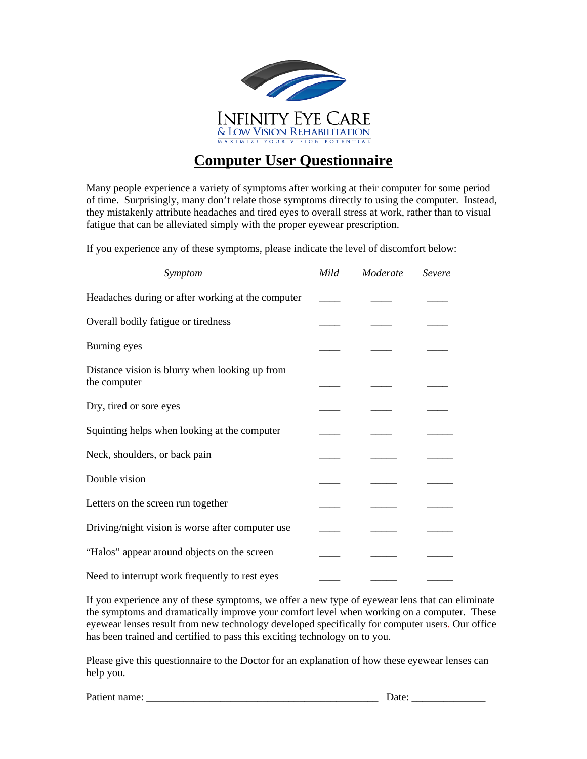

## **Computer User Questionnaire**

Many people experience a variety of symptoms after working at their computer for some period of time. Surprisingly, many don't relate those symptoms directly to using the computer. Instead, they mistakenly attribute headaches and tired eyes to overall stress at work, rather than to visual fatigue that can be alleviated simply with the proper eyewear prescription.

If you experience any of these symptoms, please indicate the level of discomfort below:

| Symptom                                                        | Mild | Moderate | Severe |
|----------------------------------------------------------------|------|----------|--------|
| Headaches during or after working at the computer              |      |          |        |
| Overall bodily fatigue or tiredness                            |      |          |        |
| Burning eyes                                                   |      |          |        |
| Distance vision is blurry when looking up from<br>the computer |      |          |        |
| Dry, tired or sore eyes                                        |      |          |        |
| Squinting helps when looking at the computer                   |      |          |        |
| Neck, shoulders, or back pain                                  |      |          |        |
| Double vision                                                  |      |          |        |
| Letters on the screen run together                             |      |          |        |
| Driving/night vision is worse after computer use               |      |          |        |
| "Halos" appear around objects on the screen                    |      |          |        |
| Need to interrupt work frequently to rest eyes                 |      |          |        |

If you experience any of these symptoms, we offer a new type of eyewear lens that can eliminate the symptoms and dramatically improve your comfort level when working on a computer. These eyewear lenses result from new technology developed specifically for computer users. Our office has been trained and certified to pass this exciting technology on to you.

Please give this questionnaire to the Doctor for an explanation of how these eyewear lenses can help you.

Patient name: \_\_\_\_\_\_\_\_\_\_\_\_\_\_\_\_\_\_\_\_\_\_\_\_\_\_\_\_\_\_\_\_\_\_\_\_\_\_\_\_\_\_\_\_ Date: \_\_\_\_\_\_\_\_\_\_\_\_\_\_